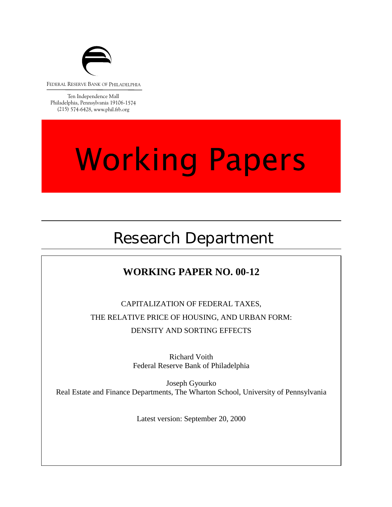

FEDERAL RESERVE BANK OF PHILADELPHIA

Ten Independence Mall Philadelphia, Pennsylvania 19106-1574 (215) 574-6428, www.phil.frb.org

# **Working Papers**

## Research Department

### **WORKING PAPER NO. 00-12**

CAPITALIZATION OF FEDERAL TAXES, THE RELATIVE PRICE OF HOUSING, AND URBAN FORM: DENSITY AND SORTING EFFECTS

> Richard Voith Federal Reserve Bank of Philadelphia

Joseph Gyourko<br>Real Estate and Finance Departments, The Wharton School, University of Pennsylvania Joseph Gyourko

Latest version: September 20, 2000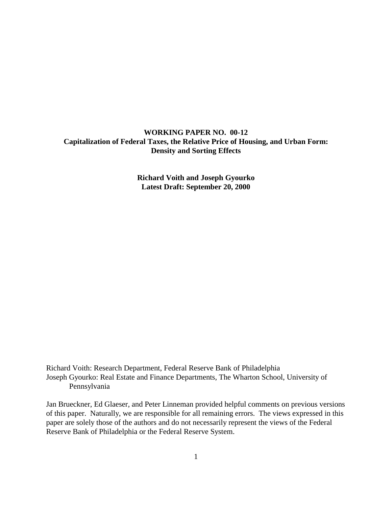#### **WORKING PAPER NO. 00-12 Capitalization of Federal Taxes, the Relative Price of Housing, and Urban Form: Density and Sorting Effects**

**Richard Voith and Joseph Gyourko Latest Draft: September 20, 2000**

Richard Voith: Research Department, Federal Reserve Bank of Philadelphia Joseph Gyourko: Real Estate and Finance Departments, The Wharton School, University of Pennsylvania

Jan Brueckner, Ed Glaeser, and Peter Linneman provided helpful comments on previous versions of this paper. Naturally, we are responsible for all remaining errors. The views expressed in this paper are solely those of the authors and do not necessarily represent the views of the Federal Reserve Bank of Philadelphia or the Federal Reserve System.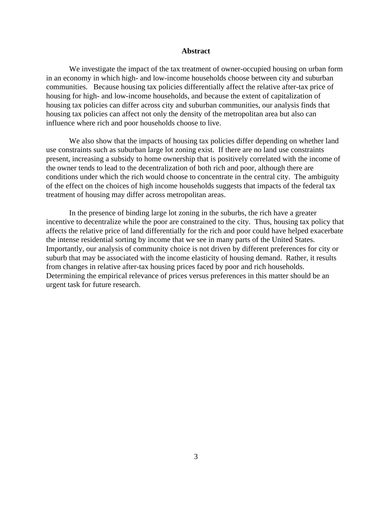#### **Abstract**

We investigate the impact of the tax treatment of owner-occupied housing on urban form in an economy in which high- and low-income households choose between city and suburban communities. Because housing tax policies differentially affect the relative after-tax price of housing for high- and low-income households, and because the extent of capitalization of housing tax policies can differ across city and suburban communities, our analysis finds that housing tax policies can affect not only the density of the metropolitan area but also can influence where rich and poor households choose to live.

We also show that the impacts of housing tax policies differ depending on whether land use constraints such as suburban large lot zoning exist. If there are no land use constraints present, increasing a subsidy to home ownership that is positively correlated with the income of the owner tends to lead to the decentralization of both rich and poor, although there are conditions under which the rich would choose to concentrate in the central city. The ambiguity of the effect on the choices of high income households suggests that impacts of the federal tax treatment of housing may differ across metropolitan areas.

In the presence of binding large lot zoning in the suburbs, the rich have a greater incentive to decentralize while the poor are constrained to the city. Thus, housing tax policy that affects the relative price of land differentially for the rich and poor could have helped exacerbate the intense residential sorting by income that we see in many parts of the United States. Importantly, our analysis of community choice is not driven by different preferences for city or suburb that may be associated with the income elasticity of housing demand. Rather, it results from changes in relative after-tax housing prices faced by poor and rich households. Determining the empirical relevance of prices versus preferences in this matter should be an urgent task for future research.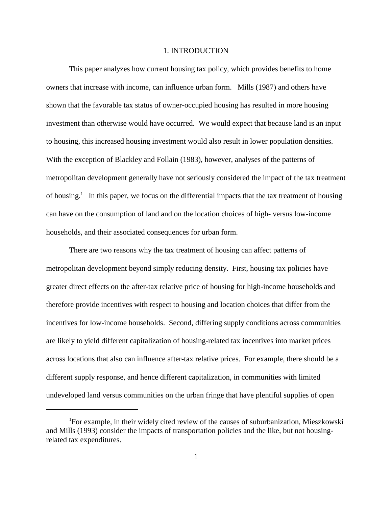#### 1. INTRODUCTION

This paper analyzes how current housing tax policy, which provides benefits to home owners that increase with income, can influence urban form. Mills (1987) and others have shown that the favorable tax status of owner-occupied housing has resulted in more housing investment than otherwise would have occurred. We would expect that because land is an input to housing, this increased housing investment would also result in lower population densities. With the exception of Blackley and Follain (1983), however, analyses of the patterns of metropolitan development generally have not seriously considered the impact of the tax treatment of housing.<sup>1</sup> In this paper, we focus on the differential impacts that the tax treatment of housing can have on the consumption of land and on the location choices of high- versus low-income households, and their associated consequences for urban form.

There are two reasons why the tax treatment of housing can affect patterns of metropolitan development beyond simply reducing density. First, housing tax policies have greater direct effects on the after-tax relative price of housing for high-income households and therefore provide incentives with respect to housing and location choices that differ from the incentives for low-income households. Second, differing supply conditions across communities are likely to yield different capitalization of housing-related tax incentives into market prices across locations that also can influence after-tax relative prices. For example, there should be a different supply response, and hence different capitalization, in communities with limited undeveloped land versus communities on the urban fringe that have plentiful supplies of open

<sup>&</sup>lt;sup>1</sup>For example, in their widely cited review of the causes of suburbanization, Mieszkowski and Mills (1993) consider the impacts of transportation policies and the like, but not housingrelated tax expenditures.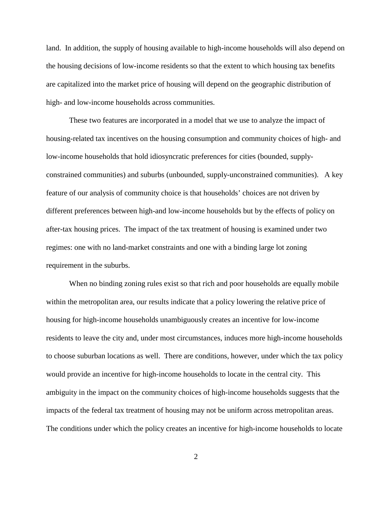land. In addition, the supply of housing available to high-income households will also depend on the housing decisions of low-income residents so that the extent to which housing tax benefits are capitalized into the market price of housing will depend on the geographic distribution of high- and low-income households across communities.

These two features are incorporated in a model that we use to analyze the impact of housing-related tax incentives on the housing consumption and community choices of high- and low-income households that hold idiosyncratic preferences for cities (bounded, supplyconstrained communities) and suburbs (unbounded, supply-unconstrained communities). A key feature of our analysis of community choice is that households' choices are not driven by different preferences between high-and low-income households but by the effects of policy on after-tax housing prices. The impact of the tax treatment of housing is examined under two regimes: one with no land-market constraints and one with a binding large lot zoning requirement in the suburbs.

When no binding zoning rules exist so that rich and poor households are equally mobile within the metropolitan area, our results indicate that a policy lowering the relative price of housing for high-income households unambiguously creates an incentive for low-income residents to leave the city and, under most circumstances, induces more high-income households to choose suburban locations as well. There are conditions, however, under which the tax policy would provide an incentive for high-income households to locate in the central city. This ambiguity in the impact on the community choices of high-income households suggests that the impacts of the federal tax treatment of housing may not be uniform across metropolitan areas. The conditions under which the policy creates an incentive for high-income households to locate

2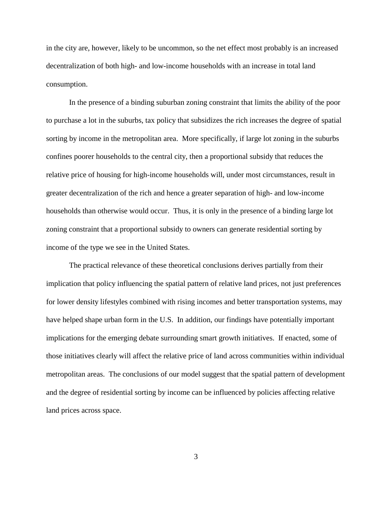in the city are, however, likely to be uncommon, so the net effect most probably is an increased decentralization of both high- and low-income households with an increase in total land consumption.

In the presence of a binding suburban zoning constraint that limits the ability of the poor to purchase a lot in the suburbs, tax policy that subsidizes the rich increases the degree of spatial sorting by income in the metropolitan area. More specifically, if large lot zoning in the suburbs confines poorer households to the central city, then a proportional subsidy that reduces the relative price of housing for high-income households will, under most circumstances, result in greater decentralization of the rich and hence a greater separation of high- and low-income households than otherwise would occur. Thus, it is only in the presence of a binding large lot zoning constraint that a proportional subsidy to owners can generate residential sorting by income of the type we see in the United States.

The practical relevance of these theoretical conclusions derives partially from their implication that policy influencing the spatial pattern of relative land prices, not just preferences for lower density lifestyles combined with rising incomes and better transportation systems, may have helped shape urban form in the U.S. In addition, our findings have potentially important implications for the emerging debate surrounding smart growth initiatives. If enacted, some of those initiatives clearly will affect the relative price of land across communities within individual metropolitan areas. The conclusions of our model suggest that the spatial pattern of development and the degree of residential sorting by income can be influenced by policies affecting relative land prices across space.

3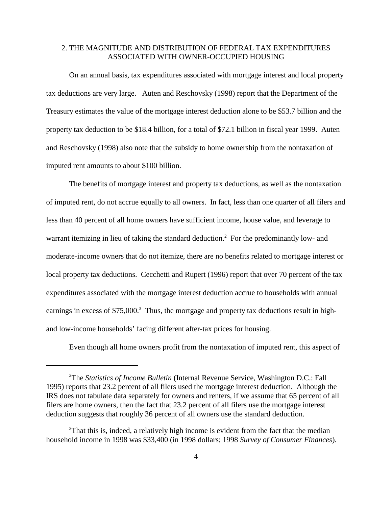#### 2. THE MAGNITUDE AND DISTRIBUTION OF FEDERAL TAX EXPENDITURES ASSOCIATED WITH OWNER-OCCUPIED HOUSING

On an annual basis, tax expenditures associated with mortgage interest and local property tax deductions are very large. Auten and Reschovsky (1998) report that the Department of the Treasury estimates the value of the mortgage interest deduction alone to be \$53.7 billion and the property tax deduction to be \$18.4 billion, for a total of \$72.1 billion in fiscal year 1999. Auten and Reschovsky (1998) also note that the subsidy to home ownership from the nontaxation of imputed rent amounts to about \$100 billion.

The benefits of mortgage interest and property tax deductions, as well as the nontaxation of imputed rent, do not accrue equally to all owners. In fact, less than one quarter of all filers and less than 40 percent of all home owners have sufficient income, house value, and leverage to warrant itemizing in lieu of taking the standard deduction.<sup>2</sup> For the predominantly low- and moderate-income owners that do not itemize, there are no benefits related to mortgage interest or local property tax deductions. Cecchetti and Rupert (1996) report that over 70 percent of the tax expenditures associated with the mortgage interest deduction accrue to households with annual earnings in excess of \$75,000.<sup>3</sup> Thus, the mortgage and property tax deductions result in highand low-income households' facing different after-tax prices for housing.

Even though all home owners profit from the nontaxation of imputed rent, this aspect of

<sup>2</sup> The *Statistics of Income Bulletin* (Internal Revenue Service, Washington D.C.: Fall 1995) reports that 23.2 percent of all filers used the mortgage interest deduction. Although the IRS does not tabulate data separately for owners and renters, if we assume that 65 percent of all filers are home owners, then the fact that 23.2 percent of all filers use the mortgage interest deduction suggests that roughly 36 percent of all owners use the standard deduction.

<sup>&</sup>lt;sup>3</sup>That this is, indeed, a relatively high income is evident from the fact that the median household income in 1998 was \$33,400 (in 1998 dollars; 1998 *Survey of Consumer Finances*).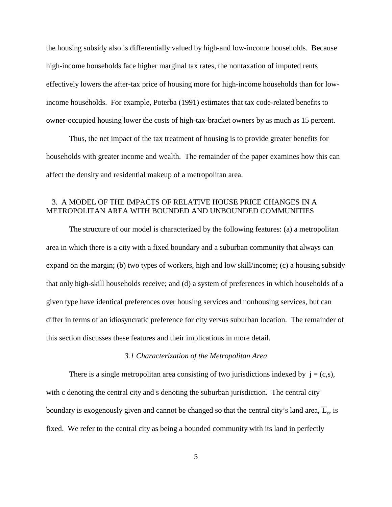the housing subsidy also is differentially valued by high-and low-income households. Because high-income households face higher marginal tax rates, the nontaxation of imputed rents effectively lowers the after-tax price of housing more for high-income households than for lowincome households. For example, Poterba (1991) estimates that tax code-related benefits to owner-occupied housing lower the costs of high-tax-bracket owners by as much as 15 percent.

Thus, the net impact of the tax treatment of housing is to provide greater benefits for households with greater income and wealth. The remainder of the paper examines how this can affect the density and residential makeup of a metropolitan area.

#### 3. A MODEL OF THE IMPACTS OF RELATIVE HOUSE PRICE CHANGES IN A METROPOLITAN AREA WITH BOUNDED AND UNBOUNDED COMMUNITIES

The structure of our model is characterized by the following features: (a) a metropolitan area in which there is a city with a fixed boundary and a suburban community that always can expand on the margin; (b) two types of workers, high and low skill/income; (c) a housing subsidy that only high-skill households receive; and (d) a system of preferences in which households of a given type have identical preferences over housing services and nonhousing services, but can differ in terms of an idiosyncratic preference for city versus suburban location. The remainder of this section discusses these features and their implications in more detail.

#### *3.1 Characterization of the Metropolitan Area*

There is a single metropolitan area consisting of two jurisdictions indexed by  $j = (c,s)$ , with c denoting the central city and s denoting the suburban jurisdiction. The central city boundary is exogenously given and cannot be changed so that the central city's land area,  $\overline{L}_c$ , is fixed. We refer to the central city as being a bounded community with its land in perfectly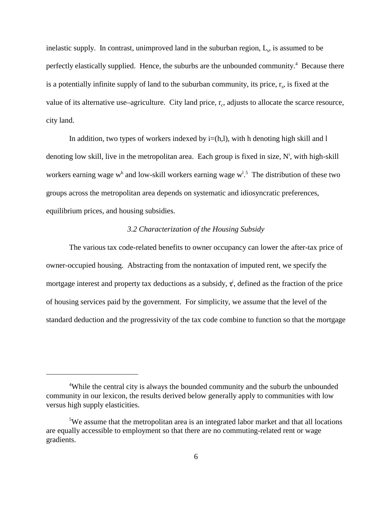inelastic supply. In contrast, unimproved land in the suburban region,  $L<sub>s</sub>$ , is assumed to be perfectly elastically supplied. Hence, the suburbs are the unbounded community.<sup>4</sup> Because there is a potentially infinite supply of land to the suburban community, its price,  $r_s$ , is fixed at the value of its alternative use–agriculture. City land price,  $r_c$ , adjusts to allocate the scarce resource, city land.

In addition, two types of workers indexed by  $i=(h,l)$ , with h denoting high skill and l denoting low skill, live in the metropolitan area. Each group is fixed in size, N<sup>i</sup>, with high-skill workers earning wage w<sup>h</sup> and low-skill workers earning wage  $w^{1.5}$ . The distribution of these two groups across the metropolitan area depends on systematic and idiosyncratic preferences, equilibrium prices, and housing subsidies.

#### *3.2 Characterization of the Housing Subsidy*

The various tax code-related benefits to owner occupancy can lower the after-tax price of owner-occupied housing. Abstracting from the nontaxation of imputed rent, we specify the mortgage interest and property tax deductions as a subsidy,  $\tau^i$ , defined as the fraction of the price of housing services paid by the government. For simplicity, we assume that the level of the standard deduction and the progressivity of the tax code combine to function so that the mortgage

<sup>&</sup>lt;sup>4</sup>While the central city is always the bounded community and the suburb the unbounded community in our lexicon, the results derived below generally apply to communities with low versus high supply elasticities.

<sup>&</sup>lt;sup>5</sup>We assume that the metropolitan area is an integrated labor market and that all locations are equally accessible to employment so that there are no commuting-related rent or wage gradients.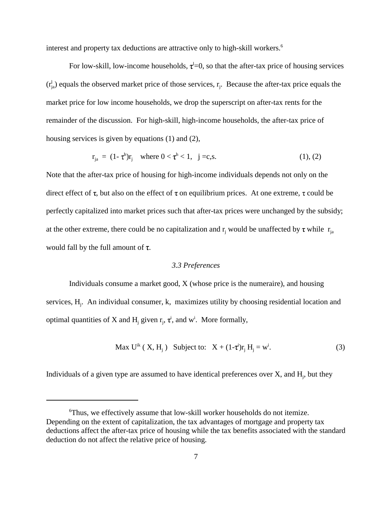interest and property tax deductions are attractive only to high-skill workers.<sup>6</sup>

For low-skill, low-income households,  $\tau=0$ , so that the after-tax price of housing services  $(r_{ja}^l)$  equals the observed market price of those services,  $r_j$ . Because the after-tax price equals the market price for low income households, we drop the superscript on after-tax rents for the remainder of the discussion. For high-skill, high-income households, the after-tax price of housing services is given by equations (1) and (2),

$$
r_{ja} = (1 - \tau^h) r_j \quad \text{where } 0 < \tau^h < 1, \quad j = c, s. \tag{1}, (2)
$$

Note that the after-tax price of housing for high-income individuals depends not only on the direct effect of  $\tau$ , but also on the effect of  $\tau$  on equilibrium prices. At one extreme,  $\tau$  could be perfectly capitalized into market prices such that after-tax prices were unchanged by the subsidy; at the other extreme, there could be no capitalization and  $r_j$  would be unaffected by  $\tau$  while  $r_{ja}$ would fall by the full amount of  $\tau$ .

#### *3.3 Preferences*

Individuals consume a market good,  $X$  (whose price is the numeraire), and housing services, H<sub>j</sub>. An individual consumer, k, maximizes utility by choosing residential location and optimal quantities of X and H<sub>j</sub> given  $r_j$ ,  $\tau^i$ , and w<sup>i</sup>. More formally,

Max U<sup>ik</sup> ( X, H<sub>j</sub>) Subject to: 
$$
X + (1 - \tau^i)r_j H_j = w^i
$$
. (3)

Individuals of a given type are assumed to have identical preferences over X, and H<sub>j</sub>, but they

<sup>6</sup> Thus, we effectively assume that low-skill worker households do not itemize. Depending on the extent of capitalization, the tax advantages of mortgage and property tax deductions affect the after-tax price of housing while the tax benefits associated with the standard deduction do not affect the relative price of housing.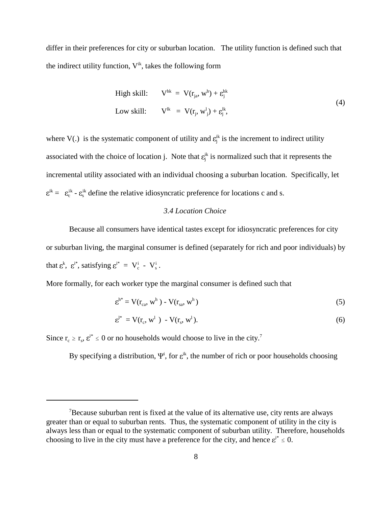differ in their preferences for city or suburban location. The utility function is defined such that the indirect utility function,  $V^{ik}$ , takes the following form

High skill: 
$$
V^{hk} = V(r_{ja}, w^h) + \varepsilon_j^{hk}
$$
  
Low skill: 
$$
V^{lk} = V(r_j, w^l_j) + \varepsilon_j^{lk},
$$
 (4)

where  $V(.)$  is the systematic component of utility and  $\varepsilon_j^k$  is the increment to indirect utility associated with the choice of location j. Note that  $\varepsilon_j^k$  is normalized such that it represents the incremental utility associated with an individual choosing a suburban location. Specifically, let  $\mathbf{e}_{\mathbf{c}}^{\mathbf{i}\mathbf{k}}$  =  $\mathbf{e}_{\mathbf{s}}^{\mathbf{i}\mathbf{k}}$  define the relative idiosyncratic preference for locations c and s.

#### *3.4 Location Choice*

Because all consumers have identical tastes except for idiosyncratic preferences for city or suburban living, the marginal consumer is defined (separately for rich and poor individuals) by that  $\varepsilon^k$ ,  $\varepsilon^{i^*}$ , satisfying  $\varepsilon^{i^*} = V_c^i - V_s^i$ .

More formally, for each worker type the marginal consumer is defined such that

$$
\varepsilon^{\mathbf{h}^*} = \mathbf{V}(\mathbf{r}_{\mathbf{ca}}, \mathbf{w}^{\mathbf{h}}) - \mathbf{V}(\mathbf{r}_{\mathbf{sa}}, \mathbf{w}^{\mathbf{h}})
$$
 (5)

$$
\varepsilon^{l^*} = V(r_c, w^l) - V(r_s, w^l). \tag{6}
$$

Since  $r_c \ge r_s$ ,  $\varepsilon^{i*} \le 0$  or no households would choose to live in the city.<sup>7</sup>

By specifying a distribution,  $\Psi^{i}$ , for  $\varepsilon^{ik}$ , the number of rich or poor households choosing

<sup>&</sup>lt;sup>7</sup>Because suburban rent is fixed at the value of its alternative use, city rents are always greater than or equal to suburban rents. Thus, the systematic component of utility in the city is always less than or equal to the systematic component of suburban utility. Therefore, households choosing to live in the city must have a preference for the city, and hence  $\varepsilon^{i*} \leq 0$ .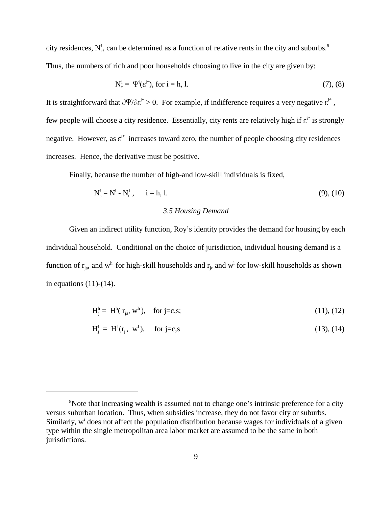city residences,  $N_c^i$ , can be determined as a function of relative rents in the city and suburbs.<sup>8</sup> Thus, the numbers of rich and poor households choosing to live in the city are given by:

$$
N_c^i = \Psi^i(\varepsilon^{i*}), \text{ for } i = h, l. \tag{7}, (8)
$$

It is straightforward that  $\partial \Psi / \partial \varepsilon^{i*} > 0$ . For example, if indifference requires a very negative  $\varepsilon^{i*}$ . few people will choose a city residence. Essentially, city rents are relatively high if  $\varepsilon^{i*}$  is strongly negative. However, as  $\varepsilon^{i*}$  increases toward zero, the number of people choosing city residences increases. Hence, the derivative must be positive.

Finally, because the number of high-and low-skill individuals is fixed,

$$
N_s^i = N^i - N_c^i, \t i = h, l. \t(9), (10)
$$

#### *3.5 Housing Demand*

Given an indirect utility function, Roy's identity provides the demand for housing by each individual household. Conditional on the choice of jurisdiction, individual housing demand is a function of  $r_{ja}$ , and w<sup>h</sup> for high-skill households and  $r_j$ , and w<sup>1</sup> for low-skill households as shown in equations  $(11)-(14)$ .

$$
H_j^h = H^h(\mathbf{r}_{ja}, \mathbf{w}^h), \quad \text{for } j = c, s; \tag{11}, (12)
$$

$$
H_j^l = H^l(r_j, w^l), \quad \text{for } j = c, s \tag{13}, (14)
$$

<sup>&</sup>lt;sup>8</sup>Note that increasing wealth is assumed not to change one's intrinsic preference for a city versus suburban location. Thus, when subsidies increase, they do not favor city or suburbs. Similarly,  $w<sup>i</sup>$  does not affect the population distribution because wages for individuals of a given type within the single metropolitan area labor market are assumed to be the same in both jurisdictions.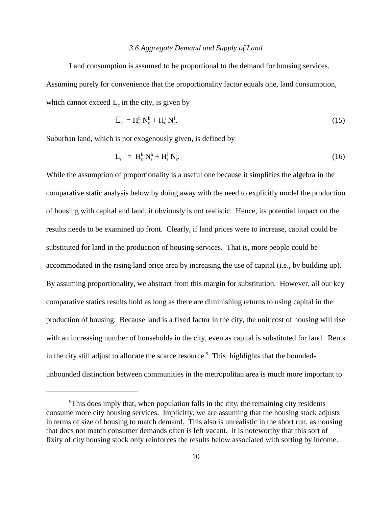#### *3.6 Aggregate Demand and Supply of Land*

Land consumption is assumed to be proportional to the demand for housing services. Assuming purely for convenience that the proportionality factor equals one, land consumption, which cannot exceed  $\overline{L}_c$  in the city, is given by

$$
\overline{\mathbf{L}}_{\rm c} = \mathbf{H}_{\rm c}^{\rm h} \, \mathbf{N}_{\rm c}^{\rm h} + \mathbf{H}_{\rm c}^{\rm l} \, \mathbf{N}_{\rm c}^{\rm l}.\tag{15}
$$

Suburban land, which is not exogenously given, is defined by

$$
L_s = H_s^h N_s^h + H_s^l N_s^l. \tag{16}
$$

While the assumption of proportionality is a useful one because it simplifies the algebra in the comparative static analysis below by doing away with the need to explicitly model the production of housing with capital and land, it obviously is not realistic. Hence, its potential impact on the results needs to be examined up front. Clearly, if land prices were to increase, capital could be substituted for land in the production of housing services. That is, more people could be accommodated in the rising land price area by increasing the use of capital (i.e., by building up). By assuming proportionality, we abstract from this margin for substitution. However, all our key comparative statics results hold as long as there are diminishing returns to using capital in the production of housing. Because land is a fixed factor in the city, the unit cost of housing will rise with an increasing number of households in the city, even as capital is substituted for land. Rents in the city still adjust to allocate the scarce resource.<sup>9</sup> This highlights that the boundedunbounded distinction between communities in the metropolitan area is much more important to

<sup>&</sup>lt;sup>9</sup>This does imply that, when population falls in the city, the remaining city residents consume more city housing services. Implicitly, we are assuming that the housing stock adjusts in terms of size of housing to match demand. This also is unrealistic in the short run, as housing that does not match consumer demands often is left vacant. It is noteworthy that this sort of fixity of city housing stock only reinforces the results below associated with sorting by income.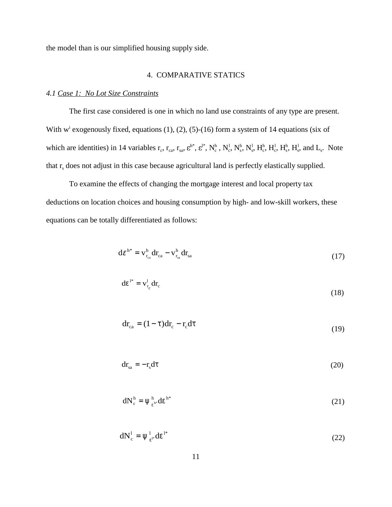the model than is our simplified housing supply side.

#### 4. COMPARATIVE STATICS

#### *4.1 Case 1: No Lot Size Constraints*

The first case considered is one in which no land use constraints of any type are present. With  $w<sup>i</sup>$  exogenously fixed, equations (1), (2), (5)-(16) form a system of 14 equations (six of which are identities) in 14 variables  $r_c$ ,  $r_{ca}$ ,  $r_{sa}$ ,  $\epsilon^{h*}$ ,  $\epsilon^{l*}$ ,  $N_c^h$ ,  $N_c^l$ ,  $N_s^h$ ,  $N_s^l$ ,  $H_c^h$ ,  $H_c^l$ ,  $H_s^h$ ,  $H_s^l$ , and  $L_s$ . Note that  $r_s$  does not adjust in this case because agricultural land is perfectly elastically supplied.

To examine the effects of changing the mortgage interest and local property tax deductions on location choices and housing consumption by high- and low-skill workers, these equations can be totally differentiated as follows:

$$
\mathrm{d}\varepsilon^{\mathrm{h}^*} = \mathrm{v}_{\mathrm{r}_{\mathrm{ca}}}^{\mathrm{h}} \mathrm{d}\mathrm{r}_{\mathrm{ca}} - \mathrm{v}_{\mathrm{r}_{\mathrm{sa}}}^{\mathrm{h}} \mathrm{d}\mathrm{r}_{\mathrm{sa}}
$$
(17)

$$
d\varepsilon^{1*} = v_{r_c}^1 dr_c \tag{18}
$$

$$
dr_{ca} = (1 - \tau) dr_c - r_c d\tau
$$
\n(19)

$$
dr_{sa} = -r_s d\tau \tag{20}
$$

$$
dN_c^h = \psi_{\varepsilon^{h^*}}^h d\varepsilon^{h^*} \tag{21}
$$

$$
dN_c^1 = \psi_{\epsilon^{1*}}^1 d\epsilon^{1*} \tag{22}
$$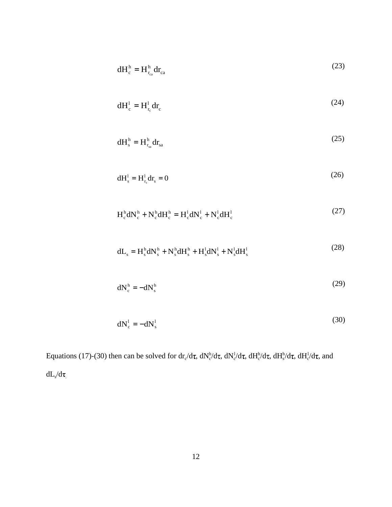$$
dH_c^h = H_{r_{ca}}^h dr_{ca}
$$
 (23)

$$
dH_c^1 = H_{r_c}^1 dr_c \tag{24}
$$

$$
dH_s^h = H_{r_{sa}}^h dr_{sa}
$$
 (25)

$$
dH_s^1 = H_{r_s}^1 dr_s = 0
$$
 (26)

$$
H_c^h dN_c^h + N_c^h dH_c^h = H_c^l dN_c^l + N_c^l dH_c^l
$$
\n(27)

$$
dL_s = H_s^h dN_s^h + N_s^h dH_s^h + H_s^l dN_s^l + N_s^l dH_s^l
$$
 (28)

$$
dN_c^h = -dN_s^h \tag{29}
$$

$$
dN_c^1 = -dN_s^1 \tag{30}
$$

Equations (17)-(30) then can be solved for dr<sub>c</sub>/d $\tau$ , dN<sup>h</sup><sub>c</sub>/d $\tau$ , dN<sup>h</sup><sub>c</sub>/d $\tau$ , dH<sup>h</sup><sub>c</sub>/d $\tau$ , dH<sup>h</sup><sub>c</sub>/d $\tau$ , and  $dL_s/d\tau$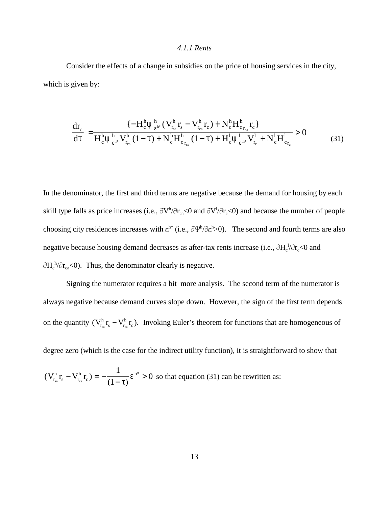#### *4.1.1 Rents*

Consider the effects of a change in subsidies on the price of housing services in the city, which is given by:

$$
\frac{dr_c}{d\tau} = \frac{\{-H_c^h \psi_{\varepsilon^{h^*}}^h (V_{r_{sa}}^h r_s - V_{r_{ca}}^h r_c) + N_c^h H_{c_{r_{ca}}^h r_c}^h\}}{H_c^h \psi_{\varepsilon^{h^*}}^h V_{r_{ca}}^h (1 - \tau) + N_c^h H_{c_{r_{ca}}^h (1 - \tau) + H_c^l \psi_{\varepsilon^{h^*}}^h V_{r_c}^l + N_c^l H_{c_{r_c}}^l} > 0
$$
\n(31)

In the denominator, the first and third terms are negative because the demand for housing by each skill type falls as price increases (i.e.,  $\partial V^h/\partial r_{ca}$ <0 and  $\partial V^l/\partial r_c$ <0) and because the number of people choosing city residences increases with  $\varepsilon^{h*}$  (i.e.,  $\partial \Psi^h / \partial \varepsilon^h > 0$ ). The second and fourth terms are also negative because housing demand decreases as after-tax rents increase (i.e.,  $\partial H_c^1/\partial r_c$  <0 and  $\partial H_c^{\text{h}}/\partial r_{\text{ca}}$  < 0). Thus, the denominator clearly is negative.

Signing the numerator requires a bit more analysis. The second term of the numerator is always negative because demand curves slope down. However, the sign of the first term depends on the quantity  $(V_{r_{c,a}}^h r_s - V_{r_{c,a}}^h r_c)$ . Invoking Euler's theorem for functions that are homogeneous of  $s - v_{r}$  $\int_{\text{sa}}^{\text{h}} \mathbf{r}_{\text{s}} - \mathbf{V}_{\text{r}_{\text{ca}}}^{\text{h}} \mathbf{r}_{\text{c}}$ 

degree zero (which is the case for the indirect utility function), it is straightforward to show that

$$
(V_{r_{sa}}^h r_s - V_{r_{ca}}^h r_c) = -\frac{1}{(1-\tau)} \epsilon^{h^*} > 0
$$
 so that equation (31) can be rewritten as: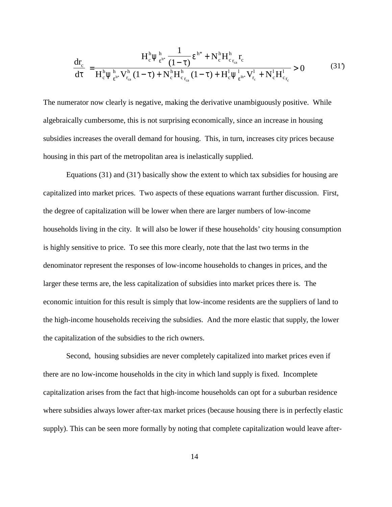$$
\frac{dr_c}{d\tau} = \frac{H_c^h \psi_{\epsilon^{h^*}}^h \frac{1}{(1-\tau)} \epsilon^{h^*} + N_c^h H_{c_{r_{ca}}}^h r_c}{H_c^h \psi_{\epsilon^{h^*}}^h V_{r_{ca}}^h (1-\tau) + N_c^h H_{c_{r_{ca}}}^h (1-\tau) + H_c^l \psi_{\epsilon^{h^*}}^l V_{r_c}^l + N_c^l H_{c_{r_c}}^l} > 0 \tag{31'}
$$

The numerator now clearly is negative, making the derivative unambiguously positive. While algebraically cumbersome, this is not surprising economically, since an increase in housing subsidies increases the overall demand for housing. This, in turn, increases city prices because housing in this part of the metropolitan area is inelastically supplied.

Equations (31) and (31') basically show the extent to which tax subsidies for housing are capitalized into market prices. Two aspects of these equations warrant further discussion. First, the degree of capitalization will be lower when there are larger numbers of low-income households living in the city. It will also be lower if these households' city housing consumption is highly sensitive to price. To see this more clearly, note that the last two terms in the denominator represent the responses of low-income households to changes in prices, and the larger these terms are, the less capitalization of subsidies into market prices there is. The economic intuition for this result is simply that low-income residents are the suppliers of land to the high-income households receiving the subsidies. And the more elastic that supply, the lower the capitalization of the subsidies to the rich owners.

Second, housing subsidies are never completely capitalized into market prices even if there are no low-income households in the city in which land supply is fixed. Incomplete capitalization arises from the fact that high-income households can opt for a suburban residence where subsidies always lower after-tax market prices (because housing there is in perfectly elastic supply). This can be seen more formally by noting that complete capitalization would leave after-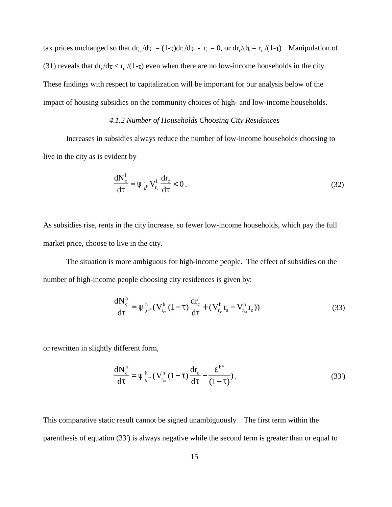tax prices unchanged so that  $dr_{ca}/d\tau = (1-\tau)dr_c/d\tau - r_c = 0$ , or  $dr_c/d\tau = r_c/(1-\tau)$ . Manipulation of (31) reveals that  $dr_c/d\tau < r_c/(1-\tau)$  even when there are no low-income households in the city. These findings with respect to capitalization will be important for our analysis below of the impact of housing subsidies on the community choices of high- and low-income households.

#### *4.1.2 Number of Households Choosing City Residences*

Increases in subsidies always reduce the number of low-income households choosing to live in the city as is evident by

$$
\frac{dN_c^1}{d\tau} = \psi_{\epsilon^{1*}}^1 V_{r_c}^1 \frac{dr_c}{d\tau} < 0 \,. \tag{32}
$$

As subsidies rise, rents in the city increase, so fewer low-income households, which pay the full market price, choose to live in the city.

The situation is more ambiguous for high-income people. The effect of subsidies on the number of high-income people choosing city residences is given by:

$$
\frac{dN_c^h}{d\tau} = \psi_{\varepsilon^{h^*}}^h (V_{r_{ca}}^h (1 - \tau) \frac{dr_c}{d\tau} + (V_{r_{sa}}^h r_s - V_{r_{ca}}^h r_c))
$$
\n(33)

or rewritten in slightly different form,

$$
\frac{dN_c^h}{d\tau} = \psi_{\varepsilon^{h^*}}^h(V_{r_{ca}}^h(1-\tau)\frac{dr_c}{d\tau} - \frac{\varepsilon^{h^*}}{(1-\tau)}).
$$
\n(33')

This comparative static result cannot be signed unambiguously. The first term within the parenthesis of equation (33') is always negative while the second term is greater than or equal to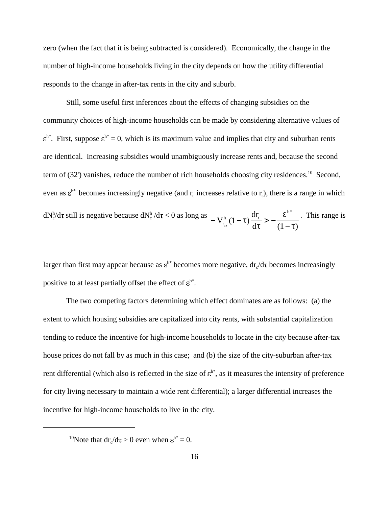zero (when the fact that it is being subtracted is considered). Economically, the change in the number of high-income households living in the city depends on how the utility differential responds to the change in after-tax rents in the city and suburb.

Still, some useful first inferences about the effects of changing subsidies on the community choices of high-income households can be made by considering alternative values of  $\varepsilon^{h*}$ . First, suppose  $\varepsilon^{h*} = 0$ , which is its maximum value and implies that city and suburban rents are identical. Increasing subsidies would unambiguously increase rents and, because the second term of (32') vanishes, reduce the number of rich households choosing city residences.<sup>10</sup> Second, even as  $\varepsilon^{h*}$  becomes increasingly negative (and  $r_c$  increases relative to  $r_s$ ), there is a range in which  $dN_c^h/d\tau$  still is negative because  $dN_c^h/d\tau < 0$  as long as  $V_{r_{ca}}^h(1-\tau)\frac{dr_c}{d\tau} > -\frac{\epsilon^{h^*}}{(1-\tau)}$ . This range is  $r_{\rm ca}$  (1<sup>-</sup>  $\theta$ ) d  $h$  (1  $\pi$ )  $\frac{u}{c}$ h  $\frac{d}{dr}$  (1 -  $\tau$ )  $\frac{dr_c}{d\tau}$  > -  $\frac{c}{(1-\tau)}$ \*  $(1-\tau)\frac{d\tau_c}{d\tau} > -\frac{1}{(1-\tau)^2}$ ε τ

larger than first may appear because as  $\varepsilon^{h*}$  becomes more negative, dr./d $\tau$  becomes increasingly positive to at least partially offset the effect of  $\varepsilon^{h^*}$ .

The two competing factors determining which effect dominates are as follows: (a) the extent to which housing subsidies are capitalized into city rents, with substantial capitalization tending to reduce the incentive for high-income households to locate in the city because after-tax house prices do not fall by as much in this case; and (b) the size of the city-suburban after-tax rent differential (which also is reflected in the size of  $\varepsilon^{h*}$ , as it measures the intensity of preference for city living necessary to maintain a wide rent differential); a larger differential increases the incentive for high-income households to live in the city.

<sup>&</sup>lt;sup>10</sup>Note that  $dr/d\tau > 0$  even when  $\varepsilon^{h^*} = 0$ .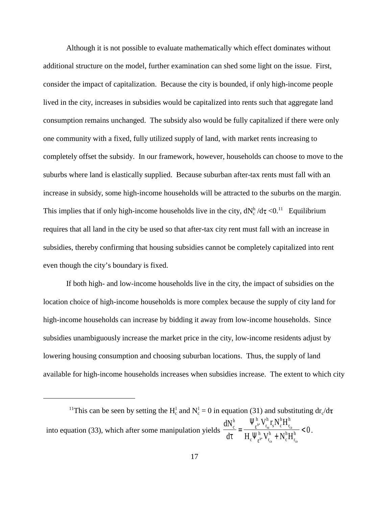Although it is not possible to evaluate mathematically which effect dominates without additional structure on the model, further examination can shed some light on the issue. First, consider the impact of capitalization. Because the city is bounded, if only high-income people lived in the city, increases in subsidies would be capitalized into rents such that aggregate land consumption remains unchanged. The subsidy also would be fully capitalized if there were only one community with a fixed, fully utilized supply of land, with market rents increasing to completely offset the subsidy. In our framework, however, households can choose to move to the suburbs where land is elastically supplied. Because suburban after-tax rents must fall with an increase in subsidy, some high-income households will be attracted to the suburbs on the margin. This implies that if only high-income households live in the city,  $dN_c^h/d\tau < 0$ .<sup>11</sup> Equilibrium requires that all land in the city be used so that after-tax city rent must fall with an increase in subsidies, thereby confirming that housing subsidies cannot be completely capitalized into rent even though the city's boundary is fixed.

If both high- and low-income households live in the city, the impact of subsidies on the location choice of high-income households is more complex because the supply of city land for high-income households can increase by bidding it away from low-income households. Since subsidies unambiguously increase the market price in the city, low-income residents adjust by lowering housing consumption and choosing suburban locations. Thus, the supply of land available for high-income households increases when subsidies increase. The extent to which city

<sup>&</sup>lt;sup>11</sup>This can be seen by setting the H<sub>c</sub> and N<sub>c</sub> = 0 in equation (31) and substituting dr<sub>c</sub>/d into equation (33), which after some manipulation yields  $\frac{c}{1} = \frac{e^{-(x-\frac{1}{2})}}{1! \pi^{(x-\frac{1}{2})}}$  (0. dN d  $V_r^n$  r<sub>s</sub> $N_c^n$ H  $H_{c} \Psi_{h^{*}}^{\mu} V_{r}^{\mu} + N_{c}^{\mu} H$ c h  $\Psi^h_{\varepsilon^{h^*}} V_r^h$ h  $s^{\perp}$  c h r h c h r h c h r h  $h^*$   $r_{sa}$   $s^2$   $c^2$   $r_{ca}$  $\pi$   $H_c \Psi_{\varepsilon}^{n*} V_{r_{ca}}^T + N_c H_{r_{ca}}^T$ ε ε = +  $\lt$ Ψ Ψ \* \*  $\theta$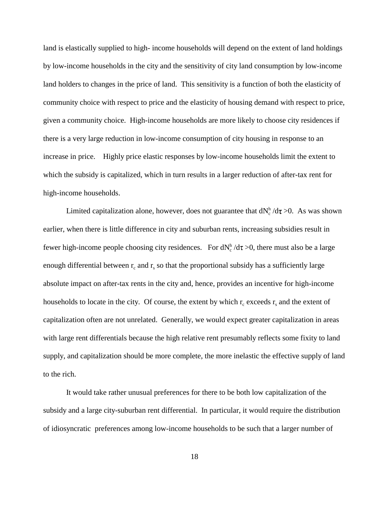land is elastically supplied to high- income households will depend on the extent of land holdings by low-income households in the city and the sensitivity of city land consumption by low-income land holders to changes in the price of land. This sensitivity is a function of both the elasticity of community choice with respect to price and the elasticity of housing demand with respect to price, given a community choice. High-income households are more likely to choose city residences if there is a very large reduction in low-income consumption of city housing in response to an increase in price. Highly price elastic responses by low-income households limit the extent to which the subsidy is capitalized, which in turn results in a larger reduction of after-tax rent for high-income households.

Limited capitalization alone, however, does not guarantee that  $dN_c^h/d\tau > 0$ . As was shown earlier, when there is little difference in city and suburban rents, increasing subsidies result in fewer high-income people choosing city residences. For  $dN_c^h/d\tau > 0$ , there must also be a large enough differential between  $r_c$  and  $r_s$  so that the proportional subsidy has a sufficiently large absolute impact on after-tax rents in the city and, hence, provides an incentive for high-income households to locate in the city. Of course, the extent by which  $r_c$  exceeds  $r_s$  and the extent of capitalization often are not unrelated. Generally, we would expect greater capitalization in areas with large rent differentials because the high relative rent presumably reflects some fixity to land supply, and capitalization should be more complete, the more inelastic the effective supply of land to the rich.

It would take rather unusual preferences for there to be both low capitalization of the subsidy and a large city-suburban rent differential. In particular, it would require the distribution of idiosyncratic preferences among low-income households to be such that a larger number of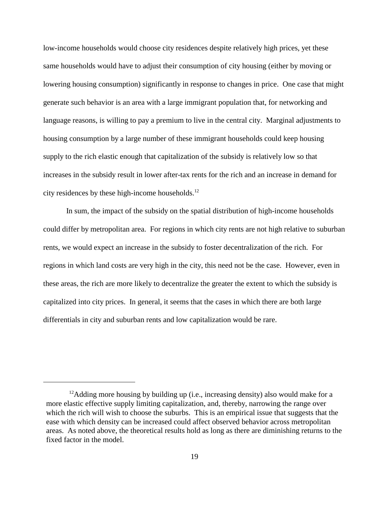low-income households would choose city residences despite relatively high prices, yet these same households would have to adjust their consumption of city housing (either by moving or lowering housing consumption) significantly in response to changes in price. One case that might generate such behavior is an area with a large immigrant population that, for networking and language reasons, is willing to pay a premium to live in the central city. Marginal adjustments to housing consumption by a large number of these immigrant households could keep housing supply to the rich elastic enough that capitalization of the subsidy is relatively low so that increases in the subsidy result in lower after-tax rents for the rich and an increase in demand for city residences by these high-income households. $^{12}$ 

In sum, the impact of the subsidy on the spatial distribution of high-income households could differ by metropolitan area. For regions in which city rents are not high relative to suburban rents, we would expect an increase in the subsidy to foster decentralization of the rich. For regions in which land costs are very high in the city, this need not be the case. However, even in these areas, the rich are more likely to decentralize the greater the extent to which the subsidy is capitalized into city prices. In general, it seems that the cases in which there are both large differentials in city and suburban rents and low capitalization would be rare.

<sup>&</sup>lt;sup>12</sup>Adding more housing by building up (i.e., increasing density) also would make for a more elastic effective supply limiting capitalization, and, thereby, narrowing the range over which the rich will wish to choose the suburbs. This is an empirical issue that suggests that the ease with which density can be increased could affect observed behavior across metropolitan areas. As noted above, the theoretical results hold as long as there are diminishing returns to the fixed factor in the model.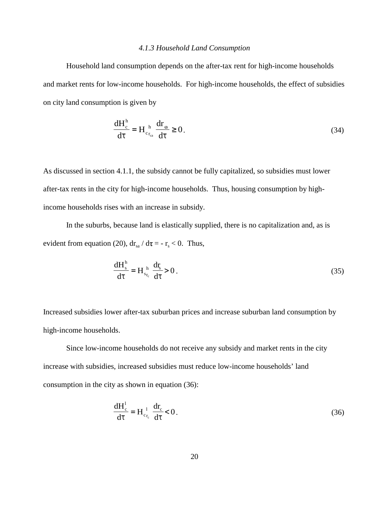#### *4.1.3 Household Land Consumption*

Household land consumption depends on the after-tax rent for high-income households and market rents for low-income households. For high-income households, the effect of subsidies on city land consumption is given by

$$
\frac{dH_c^h}{d\tau} = H_{c_{r_{ca}}}^h \frac{dr_a}{d\tau} \ge 0.
$$
 (34)

As discussed in section 4.1.1, the subsidy cannot be fully capitalized, so subsidies must lower after-tax rents in the city for high-income households. Thus, housing consumption by highincome households rises with an increase in subsidy.

In the suburbs, because land is elastically supplied, there is no capitalization and, as is evident from equation (20),  $dr_{sa} / d\tau = -r_s < 0$ . Thus,

$$
\frac{dH_s^h}{d\tau} = H_{s_{r_c}}^h \frac{dr_s}{d\tau} > 0.
$$
\n(35)

Increased subsidies lower after-tax suburban prices and increase suburban land consumption by high-income households.

Since low-income households do not receive any subsidy and market rents in the city increase with subsidies, increased subsidies must reduce low-income households' land consumption in the city as shown in equation (36):

$$
\frac{dH_c^1}{d\tau} = H_{c_{r_c}}^1 \frac{dr_c}{d\tau} < 0. \tag{36}
$$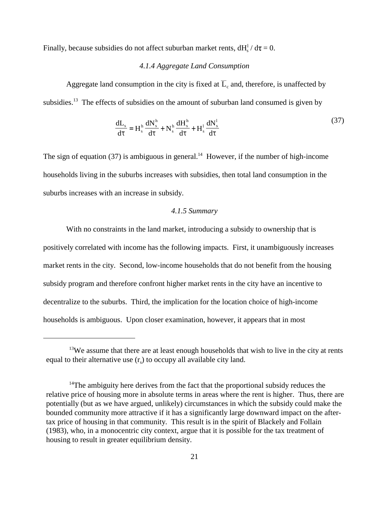Finally, because subsidies do not affect suburban market rents,  $dH_s^1/d\tau = 0$ .

#### *4.1.4 Aggregate Land Consumption*

Aggregate land consumption in the city is fixed at  $\overline{L}_c$  and, therefore, is unaffected by subsidies.<sup>13</sup> The effects of subsidies on the amount of suburban land consumed is given by

$$
\frac{dL_s}{d\tau} = H_s^h \frac{dN_s^h}{d\tau} + N_s^h \frac{dH_s^h}{d\tau} + H_s^l \frac{dN_s^l}{d\tau}
$$
\n(37)

The sign of equation (37) is ambiguous in general.<sup>14</sup> However, if the number of high-income households living in the suburbs increases with subsidies, then total land consumption in the suburbs increases with an increase in subsidy.

#### *4.1.5 Summary*

With no constraints in the land market, introducing a subsidy to ownership that is positively correlated with income has the following impacts. First, it unambiguously increases market rents in the city. Second, low-income households that do not benefit from the housing subsidy program and therefore confront higher market rents in the city have an incentive to decentralize to the suburbs. Third, the implication for the location choice of high-income households is ambiguous. Upon closer examination, however, it appears that in most

 $13$ We assume that there are at least enough households that wish to live in the city at rents equal to their alternative use  $(r<sub>s</sub>)$  to occupy all available city land.

 $14$ The ambiguity here derives from the fact that the proportional subsidy reduces the relative price of housing more in absolute terms in areas where the rent is higher. Thus, there are potentially (but as we have argued, unlikely) circumstances in which the subsidy could make the bounded community more attractive if it has a significantly large downward impact on the aftertax price of housing in that community. This result is in the spirit of Blackely and Follain (1983), who, in a monocentric city context, argue that it is possible for the tax treatment of housing to result in greater equilibrium density.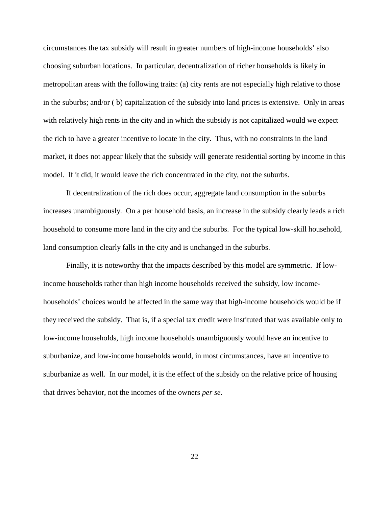circumstances the tax subsidy will result in greater numbers of high-income households' also choosing suburban locations. In particular, decentralization of richer households is likely in metropolitan areas with the following traits: (a) city rents are not especially high relative to those in the suburbs; and/or ( b) capitalization of the subsidy into land prices is extensive. Only in areas with relatively high rents in the city and in which the subsidy is not capitalized would we expect the rich to have a greater incentive to locate in the city. Thus, with no constraints in the land market, it does not appear likely that the subsidy will generate residential sorting by income in this model. If it did, it would leave the rich concentrated in the city, not the suburbs.

If decentralization of the rich does occur, aggregate land consumption in the suburbs increases unambiguously. On a per household basis, an increase in the subsidy clearly leads a rich household to consume more land in the city and the suburbs. For the typical low-skill household, land consumption clearly falls in the city and is unchanged in the suburbs.

Finally, it is noteworthy that the impacts described by this model are symmetric. If lowincome households rather than high income households received the subsidy, low incomehouseholds' choices would be affected in the same way that high-income households would be if they received the subsidy. That is, if a special tax credit were instituted that was available only to low-income households, high income households unambiguously would have an incentive to suburbanize, and low-income households would, in most circumstances, have an incentive to suburbanize as well. In our model, it is the effect of the subsidy on the relative price of housing that drives behavior, not the incomes of the owners *per se*.

22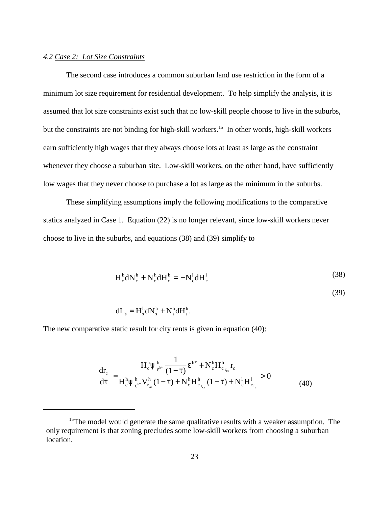#### *4.2 Case 2: Lot Size Constraints*

The second case introduces a common suburban land use restriction in the form of a minimum lot size requirement for residential development. To help simplify the analysis, it is assumed that lot size constraints exist such that no low-skill people choose to live in the suburbs, but the constraints are not binding for high-skill workers.<sup>15</sup> In other words, high-skill workers earn sufficiently high wages that they always choose lots at least as large as the constraint whenever they choose a suburban site. Low-skill workers, on the other hand, have sufficiently low wages that they never choose to purchase a lot as large as the minimum in the suburbs.

These simplifying assumptions imply the following modifications to the comparative statics analyzed in Case 1. Equation (22) is no longer relevant, since low-skill workers never choose to live in the suburbs, and equations (38) and (39) simplify to

$$
H_c^h dN_c^h + N_c^h dH_c^h = -N_c^l dH_c^l
$$
\n(38)

$$
(39)
$$

$$
dL_s = H_s^h dN_s^h + N_s^h dH_s^h.
$$

The new comparative static result for city rents is given in equation (40):

$$
\frac{dr_c}{d\tau} = \frac{H_c^h \psi_{\epsilon^{h^*}}^h \frac{1}{(1-\tau)} \epsilon^{h^*} + N_c^h H_{c_{r_{ca}}}^h r_c}{H_c^h \psi_{\epsilon^{h^*}}^h V_{r_{ca}}^h (1-\tau) + N_c^h H_{c_{r_{ca}}}^h (1-\tau) + N_c^l H_{c_{r_c}}^l} > 0
$$
\n(40)

<sup>&</sup>lt;sup>15</sup>The model would generate the same qualitative results with a weaker assumption. The only requirement is that zoning precludes some low-skill workers from choosing a suburban location.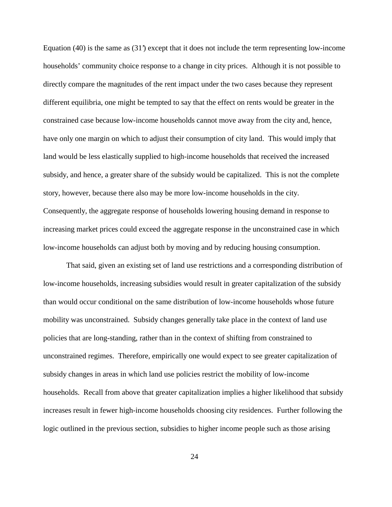Equation (40) is the same as (31') except that it does not include the term representing low-income households' community choice response to a change in city prices. Although it is not possible to directly compare the magnitudes of the rent impact under the two cases because they represent different equilibria, one might be tempted to say that the effect on rents would be greater in the constrained case because low-income households cannot move away from the city and, hence, have only one margin on which to adjust their consumption of city land. This would imply that land would be less elastically supplied to high-income households that received the increased subsidy, and hence, a greater share of the subsidy would be capitalized. This is not the complete story, however, because there also may be more low-income households in the city. Consequently, the aggregate response of households lowering housing demand in response to increasing market prices could exceed the aggregate response in the unconstrained case in which low-income households can adjust both by moving and by reducing housing consumption.

That said, given an existing set of land use restrictions and a corresponding distribution of low-income households, increasing subsidies would result in greater capitalization of the subsidy than would occur conditional on the same distribution of low-income households whose future mobility was unconstrained. Subsidy changes generally take place in the context of land use policies that are long-standing, rather than in the context of shifting from constrained to unconstrained regimes. Therefore, empirically one would expect to see greater capitalization of subsidy changes in areas in which land use policies restrict the mobility of low-income households. Recall from above that greater capitalization implies a higher likelihood that subsidy increases result in fewer high-income households choosing city residences. Further following the logic outlined in the previous section, subsidies to higher income people such as those arising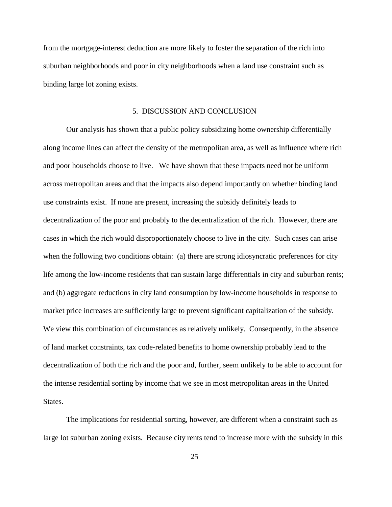from the mortgage-interest deduction are more likely to foster the separation of the rich into suburban neighborhoods and poor in city neighborhoods when a land use constraint such as binding large lot zoning exists.

#### 5. DISCUSSION AND CONCLUSION

Our analysis has shown that a public policy subsidizing home ownership differentially along income lines can affect the density of the metropolitan area, as well as influence where rich and poor households choose to live. We have shown that these impacts need not be uniform across metropolitan areas and that the impacts also depend importantly on whether binding land use constraints exist. If none are present, increasing the subsidy definitely leads to decentralization of the poor and probably to the decentralization of the rich. However, there are cases in which the rich would disproportionately choose to live in the city. Such cases can arise when the following two conditions obtain: (a) there are strong idiosyncratic preferences for city life among the low-income residents that can sustain large differentials in city and suburban rents; and (b) aggregate reductions in city land consumption by low-income households in response to market price increases are sufficiently large to prevent significant capitalization of the subsidy. We view this combination of circumstances as relatively unlikely. Consequently, in the absence of land market constraints, tax code-related benefits to home ownership probably lead to the decentralization of both the rich and the poor and, further, seem unlikely to be able to account for the intense residential sorting by income that we see in most metropolitan areas in the United States.

The implications for residential sorting, however, are different when a constraint such as large lot suburban zoning exists. Because city rents tend to increase more with the subsidy in this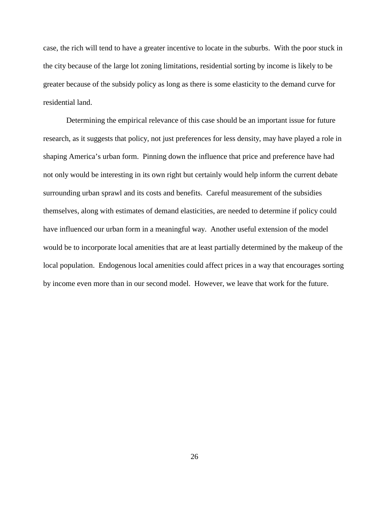case, the rich will tend to have a greater incentive to locate in the suburbs. With the poor stuck in the city because of the large lot zoning limitations, residential sorting by income is likely to be greater because of the subsidy policy as long as there is some elasticity to the demand curve for residential land.

Determining the empirical relevance of this case should be an important issue for future research, as it suggests that policy, not just preferences for less density, may have played a role in shaping America's urban form. Pinning down the influence that price and preference have had not only would be interesting in its own right but certainly would help inform the current debate surrounding urban sprawl and its costs and benefits. Careful measurement of the subsidies themselves, along with estimates of demand elasticities, are needed to determine if policy could have influenced our urban form in a meaningful way. Another useful extension of the model would be to incorporate local amenities that are at least partially determined by the makeup of the local population. Endogenous local amenities could affect prices in a way that encourages sorting by income even more than in our second model. However, we leave that work for the future.